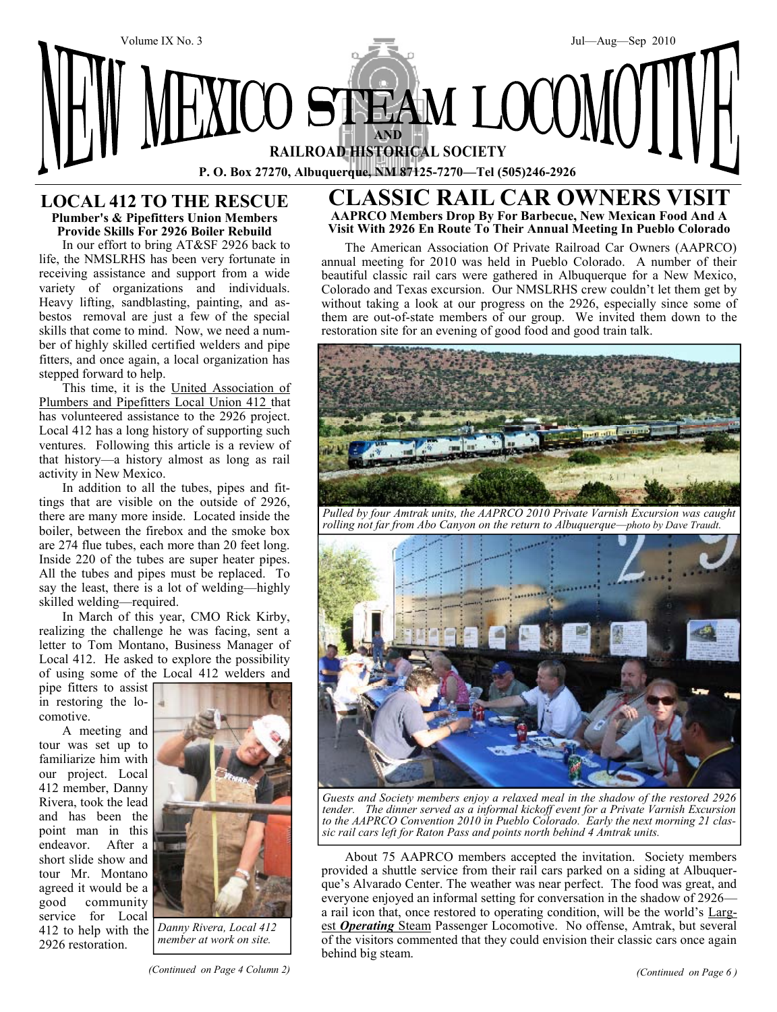

# **LOCAL 412 TO THE RESCUE Plumber's & Pipefitters Union Members Provide Skills For 2926 Boiler Rebuild**

In our effort to bring AT&SF 2926 back to life, the NMSLRHS has been very fortunate in receiving assistance and support from a wide variety of organizations and individuals. Heavy lifting, sandblasting, painting, and asbestos removal are just a few of the special skills that come to mind. Now, we need a number of highly skilled certified welders and pipe fitters, and once again, a local organization has stepped forward to help.

This time, it is the United Association of Plumbers and Pipefitters Local Union 412 that has volunteered assistance to the 2926 project. Local 412 has a long history of supporting such ventures. Following this article is a review of that history—a history almost as long as rail activity in New Mexico.

In addition to all the tubes, pipes and fittings that are visible on the outside of 2926, there are many more inside. Located inside the boiler, between the firebox and the smoke box are 274 flue tubes, each more than 20 feet long. Inside 220 of the tubes are super heater pipes. All the tubes and pipes must be replaced. To say the least, there is a lot of welding—highly skilled welding—required.

In March of this year, CMO Rick Kirby, realizing the challenge he was facing, sent a letter to Tom Montano, Business Manager of Local 412. He asked to explore the possibility of using some of the Local 412 welders and

pipe fitters to assist in restoring the locomotive.

A meeting and tour was set up to familiarize him with our project. Local 412 member, Danny Rivera, took the lead and has been the point man in this endeavor. After a short slide show and tour Mr. Montano agreed it would be a good community service for Local 412 to help with the 2926 restoration.



*Danny Rivera, Local 412 member at work on site.*

# **GIC RAIL CAR OWNERS V AAPRCO Members Drop By For Barbecue, New Mexican Food And A Visit With 2926 En Route To Their Annual Meeting In Pueblo Colorado**

The American Association Of Private Railroad Car Owners (AAPRCO) annual meeting for 2010 was held in Pueblo Colorado. A number of their beautiful classic rail cars were gathered in Albuquerque for a New Mexico, Colorado and Texas excursion. Our NMSLRHS crew couldn't let them get by without taking a look at our progress on the 2926, especially since some of them are out-of-state members of our group. We invited them down to the restoration site for an evening of good food and good train talk.



*Pulled by four Amtrak units, the AAPRCO 2010 Private Varnish Excursion was caught rolling not far from Abo Canyon on the return to Albuquerque—photo by Dave Traudt.*



*Guests and Society members enjoy a relaxed meal in the shadow of the restored 2926 tender. The dinner served as a informal kickoff event for a Private Varnish Excursion to the AAPRCO Convention 2010 in Pueblo Colorado. Early the next morning 21 classic rail cars left for Raton Pass and points north behind 4 Amtrak units.*

About 75 AAPRCO members accepted the invitation. Society members provided a shuttle service from their rail cars parked on a siding at Albuquerque's Alvarado Center. The weather was near perfect. The food was great, and everyone enjoyed an informal setting for conversation in the shadow of 2926 a rail icon that, once restored to operating condition, will be the world's Largest *Operating* Steam Passenger Locomotive. No offense, Amtrak, but several of the visitors commented that they could envision their classic cars once again behind big steam.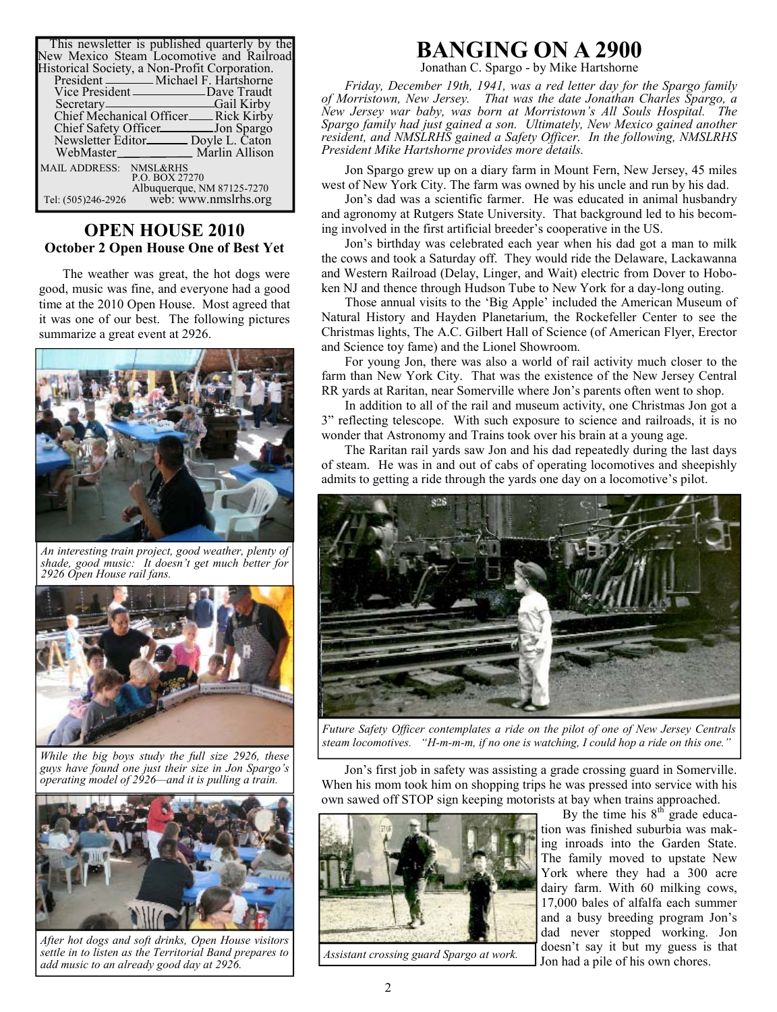| This newsletter is published quarterly by the<br>New Mexico Steam Locomotive and Railroad |
|-------------------------------------------------------------------------------------------|
| Historical Society, a Non-Profit Corporation.                                             |
| President _______ Michael F. Hartshorne                                                   |
| Vice President ________________Dave Traudt                                                |
| Secretary————————————————Gail Kirby                                                       |
| Chief Mechanical Officer <sub>—</sub> Rick Kirby                                          |
| Chief Safety Officer<br><u>Lon Spargo</u>                                                 |
| Newsletter Editor <sub>———</sub> Doyle L. Caton                                           |
| WebMaster Marlin Allison                                                                  |
| MAIL ADDRESS: NMSL&RHS<br>P.O. BOX 27270                                                  |
| Albuquerque, NM 87125-7270<br>web: www.nmslrhs.org<br>Tel: (505)246-2926                  |

# **OPEN HOUSE 2010 October 2 Open House One of Best Yet**

The weather was great, the hot dogs were good, music was fine, and everyone had a good time at the 2010 Open House. Most agreed that it was one of our best. The following pictures summarize a great event at 2926.



*An interesting train project, good weather, plenty of shade, good music: It doesn't get much better for 2926 Open House rail fans.*



*While the big boys study the full size 2926, these guys have found one just their size in Jon Spargo's operating model of 2926—and it is pulling a train.*



*After hot dogs and soft drinks, Open House visitors settle in to listen as the Territorial Band prepares to add music to an already good day at 2926.*

# **BANGING ON A 2900**

Jonathan C. Spargo - by Mike Hartshorne

*Friday, December 19th, 1941, was a red letter day for the Spargo family of Morristown, New Jersey. That was the date Jonathan Charles Spargo, a New Jersey war baby, was born at Morristown's All Souls Hospital. The Spargo family had just gained a son. Ultimately, New Mexico gained another resident, and NMSLRHS gained a Safety Officer. In the following, NMSLRHS President Mike Hartshorne provides more details.*

Jon Spargo grew up on a diary farm in Mount Fern, New Jersey, 45 miles west of New York City. The farm was owned by his uncle and run by his dad.

Jon's dad was a scientific farmer. He was educated in animal husbandry and agronomy at Rutgers State University. That background led to his becoming involved in the first artificial breeder's cooperative in the US.

Jon's birthday was celebrated each year when his dad got a man to milk the cows and took a Saturday off. They would ride the Delaware, Lackawanna and Western Railroad (Delay, Linger, and Wait) electric from Dover to Hoboken NJ and thence through Hudson Tube to New York for a day-long outing.

Those annual visits to the 'Big Apple' included the American Museum of Natural History and Hayden Planetarium, the Rockefeller Center to see the Christmas lights, The A.C. Gilbert Hall of Science (of American Flyer, Erector and Science toy fame) and the Lionel Showroom.

For young Jon, there was also a world of rail activity much closer to the farm than New York City. That was the existence of the New Jersey Central RR yards at Raritan, near Somerville where Jon's parents often went to shop.

In addition to all of the rail and museum activity, one Christmas Jon got a 3" reflecting telescope. With such exposure to science and railroads, it is no wonder that Astronomy and Trains took over his brain at a young age.

The Raritan rail yards saw Jon and his dad repeatedly during the last days of steam. He was in and out of cabs of operating locomotives and sheepishly admits to getting a ride through the yards one day on a locomotive's pilot.



*Future Safety Officer contemplates a ride on the pilot of one of New Jersey Centrals steam locomotives. "H-m-m-m, if no one is watching, I could hop a ride on this one."*

Jon's first job in safety was assisting a grade crossing guard in Somerville. When his mom took him on shopping trips he was pressed into service with his own sawed off STOP sign keeping motorists at bay when trains approached.



*Assistant crossing guard Spargo at work.*

By the time his  $8<sup>th</sup>$  grade education was finished suburbia was making inroads into the Garden State. The family moved to upstate New York where they had a 300 acre dairy farm. With 60 milking cows, 17,000 bales of alfalfa each summer and a busy breeding program Jon's dad never stopped working. Jon doesn't say it but my guess is that Jon had a pile of his own chores.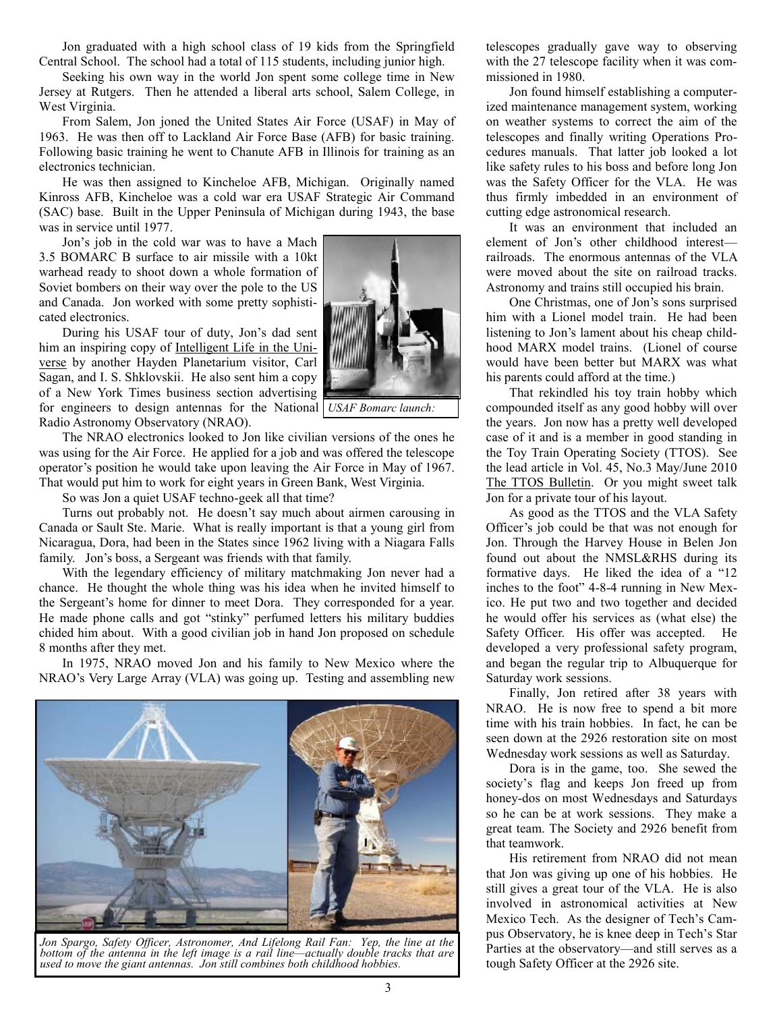Jon graduated with a high school class of 19 kids from the Springfield Central School. The school had a total of 115 students, including junior high.

Seeking his own way in the world Jon spent some college time in New Jersey at Rutgers. Then he attended a liberal arts school, Salem College, in West Virginia.

From Salem, Jon joned the United States Air Force (USAF) in May of 1963. He was then off to Lackland Air Force Base (AFB) for basic training. Following basic training he went to Chanute AFB in Illinois for training as an electronics technician.

He was then assigned to Kincheloe AFB, Michigan. Originally named Kinross AFB, Kincheloe was a cold war era USAF Strategic Air Command (SAC) base. Built in the Upper Peninsula of Michigan during 1943, the base was in service until 1977.

Jon's job in the cold war was to have a Mach 3.5 BOMARC B surface to air missile with a 10kt warhead ready to shoot down a whole formation of Soviet bombers on their way over the pole to the US and Canada. Jon worked with some pretty sophisticated electronics.

During his USAF tour of duty, Jon's dad sent him an inspiring copy of Intelligent Life in the Universe by another Hayden Planetarium visitor, Carl Sagan, and I. S. Shklovskii. He also sent him a copy of a New York Times business section advertising for engineers to design antennas for the National *USAF Bomarc launch:* Radio Astronomy Observatory (NRAO).

The NRAO electronics looked to Jon like civilian versions of the ones he was using for the Air Force. He applied for a job and was offered the telescope operator's position he would take upon leaving the Air Force in May of 1967. That would put him to work for eight years in Green Bank, West Virginia.

So was Jon a quiet USAF techno-geek all that time?

Turns out probably not. He doesn't say much about airmen carousing in Canada or Sault Ste. Marie. What is really important is that a young girl from Nicaragua, Dora, had been in the States since 1962 living with a Niagara Falls family. Jon's boss, a Sergeant was friends with that family.

With the legendary efficiency of military matchmaking Jon never had a chance. He thought the whole thing was his idea when he invited himself to the Sergeant's home for dinner to meet Dora. They corresponded for a year. He made phone calls and got "stinky" perfumed letters his military buddies chided him about. With a good civilian job in hand Jon proposed on schedule 8 months after they met.

In 1975, NRAO moved Jon and his family to New Mexico where the NRAO's Very Large Array (VLA) was going up. Testing and assembling new



*Jon Spargo, Safety Officer, Astronomer, And Lifelong Rail Fan: Yep, the line at the bottom of the antenna in the left image is a rail line—actually double tracks that are used to move the giant antennas. Jon still combines both childhood hobbies.*

telescopes gradually gave way to observing with the 27 telescope facility when it was commissioned in 1980.

Jon found himself establishing a computerized maintenance management system, working on weather systems to correct the aim of the telescopes and finally writing Operations Procedures manuals. That latter job looked a lot like safety rules to his boss and before long Jon was the Safety Officer for the VLA. He was thus firmly imbedded in an environment of cutting edge astronomical research.

It was an environment that included an element of Jon's other childhood interest railroads. The enormous antennas of the VLA were moved about the site on railroad tracks. Astronomy and trains still occupied his brain.

One Christmas, one of Jon's sons surprised him with a Lionel model train. He had been listening to Jon's lament about his cheap childhood MARX model trains. (Lionel of course would have been better but MARX was what his parents could afford at the time.)

That rekindled his toy train hobby which compounded itself as any good hobby will over the years. Jon now has a pretty well developed case of it and is a member in good standing in the Toy Train Operating Society (TTOS). See the lead article in Vol. 45, No.3 May/June 2010 The TTOS Bulletin. Or you might sweet talk Jon for a private tour of his layout.

As good as the TTOS and the VLA Safety Officer's job could be that was not enough for Jon. Through the Harvey House in Belen Jon found out about the NMSL&RHS during its formative days. He liked the idea of a "12 inches to the foot" 4-8-4 running in New Mexico. He put two and two together and decided he would offer his services as (what else) the Safety Officer. His offer was accepted. He developed a very professional safety program, and began the regular trip to Albuquerque for Saturday work sessions.

Finally, Jon retired after 38 years with NRAO. He is now free to spend a bit more time with his train hobbies. In fact, he can be seen down at the 2926 restoration site on most Wednesday work sessions as well as Saturday.

Dora is in the game, too. She sewed the society's flag and keeps Jon freed up from honey-dos on most Wednesdays and Saturdays so he can be at work sessions. They make a great team. The Society and 2926 benefit from that teamwork.

His retirement from NRAO did not mean that Jon was giving up one of his hobbies. He still gives a great tour of the VLA. He is also involved in astronomical activities at New Mexico Tech. As the designer of Tech's Campus Observatory, he is knee deep in Tech's Star Parties at the observatory—and still serves as a tough Safety Officer at the 2926 site.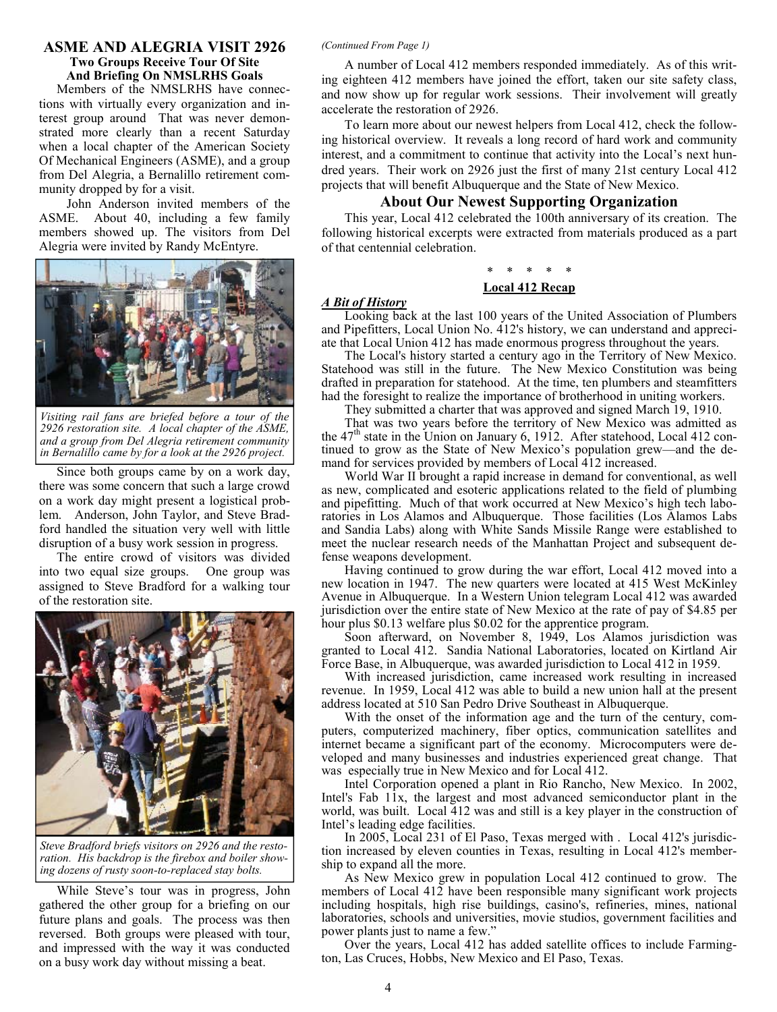### **ASME AND ALEGRIA VISIT 2926** *(Continued From Page 1)* **Two Groups Receive Tour Of Site And Briefing On NMSLRHS Goals**

Members of the NMSLRHS have connections with virtually every organization and interest group around That was never demonstrated more clearly than a recent Saturday when a local chapter of the American Society Of Mechanical Engineers (ASME), and a group from Del Alegria, a Bernalillo retirement community dropped by for a visit.

 John Anderson invited members of the ASME. About 40, including a few family members showed up. The visitors from Del Alegria were invited by Randy McEntyre.



*Visiting rail fans are briefed before a tour of the 2926 restoration site. A local chapter of the ASME, and a group from Del Alegria retirement community in Bernalillo came by for a look at the 2926 project.*

Since both groups came by on a work day, there was some concern that such a large crowd on a work day might present a logistical problem. Anderson, John Taylor, and Steve Bradford handled the situation very well with little disruption of a busy work session in progress.

The entire crowd of visitors was divided into two equal size groups. One group was assigned to Steve Bradford for a walking tour of the restoration site.



*Steve Bradford briefs visitors on 2926 and the restoration. His backdrop is the firebox and boiler showing dozens of rusty soon-to-replaced stay bolts.*

While Steve's tour was in progress, John gathered the other group for a briefing on our future plans and goals. The process was then reversed. Both groups were pleased with tour, and impressed with the way it was conducted on a busy work day without missing a beat.

A number of Local 412 members responded immediately. As of this writing eighteen 412 members have joined the effort, taken our site safety class, and now show up for regular work sessions. Their involvement will greatly accelerate the restoration of 2926.

To learn more about our newest helpers from Local 412, check the following historical overview. It reveals a long record of hard work and community interest, and a commitment to continue that activity into the Local's next hundred years. Their work on 2926 just the first of many 21st century Local 412 projects that will benefit Albuquerque and the State of New Mexico.

#### **About Our Newest Supporting Organization**

This year, Local 412 celebrated the 100th anniversary of its creation. The following historical excerpts were extracted from materials produced as a part of that centennial celebration.

# \* \* \* \* \*

## **Local 412 Recap**

#### *A Bit of History*

Looking back at the last 100 years of the United Association of Plumbers and Pipefitters, Local Union No. 412's history, we can understand and appreciate that Local Union 412 has made enormous progress throughout the years.

The Local's history started a century ago in the Territory of New Mexico. Statehood was still in the future. The New Mexico Constitution was being drafted in preparation for statehood. At the time, ten plumbers and steamfitters had the foresight to realize the importance of brotherhood in uniting workers.

They submitted a charter that was approved and signed March 19, 1910.

That was two years before the territory of New Mexico was admitted as the  $47<sup>th</sup>$  state in the Union on January 6, 1912. After statehood, Local 412 continued to grow as the State of New Mexico's population grew—and the demand for services provided by members of Local 412 increased.

World War II brought a rapid increase in demand for conventional, as well as new, complicated and esoteric applications related to the field of plumbing and pipefitting. Much of that work occurred at New Mexico's high tech laboratories in Los Alamos and Albuquerque. Those facilities (Los Alamos Labs and Sandia Labs) along with White Sands Missile Range were established to meet the nuclear research needs of the Manhattan Project and subsequent defense weapons development.

Having continued to grow during the war effort, Local 412 moved into a new location in 1947. The new quarters were located at 415 West McKinley Avenue in Albuquerque. In a Western Union telegram Local 412 was awarded jurisdiction over the entire state of New Mexico at the rate of pay of \$4.85 per hour plus \$0.13 welfare plus \$0.02 for the apprentice program.

Soon afterward, on November 8, 1949, Los Alamos jurisdiction was granted to Local 412. Sandia National Laboratories, located on Kirtland Air Force Base, in Albuquerque, was awarded jurisdiction to Local 412 in 1959.

With increased jurisdiction, came increased work resulting in increased revenue. In 1959, Local 412 was able to build a new union hall at the present address located at 510 San Pedro Drive Southeast in Albuquerque.

With the onset of the information age and the turn of the century, computers, computerized machinery, fiber optics, communication satellites and internet became a significant part of the economy. Microcomputers were developed and many businesses and industries experienced great change. That was especially true in New Mexico and for Local 412.

Intel Corporation opened a plant in Rio Rancho, New Mexico. In 2002, Intel's Fab 11x, the largest and most advanced semiconductor plant in the world, was built. Local 412 was and still is a key player in the construction of Intel's leading edge facilities.

In 2005, Local 231 of El Paso, Texas merged with . Local 412's jurisdiction increased by eleven counties in Texas, resulting in Local 412's membership to expand all the more.

As New Mexico grew in population Local 412 continued to grow. The members of Local 412 have been responsible many significant work projects including hospitals, high rise buildings, casino's, refineries, mines, national laboratories, schools and universities, movie studios, government facilities and power plants just to name a few."

Over the years, Local 412 has added satellite offices to include Farmington, Las Cruces, Hobbs, New Mexico and El Paso, Texas.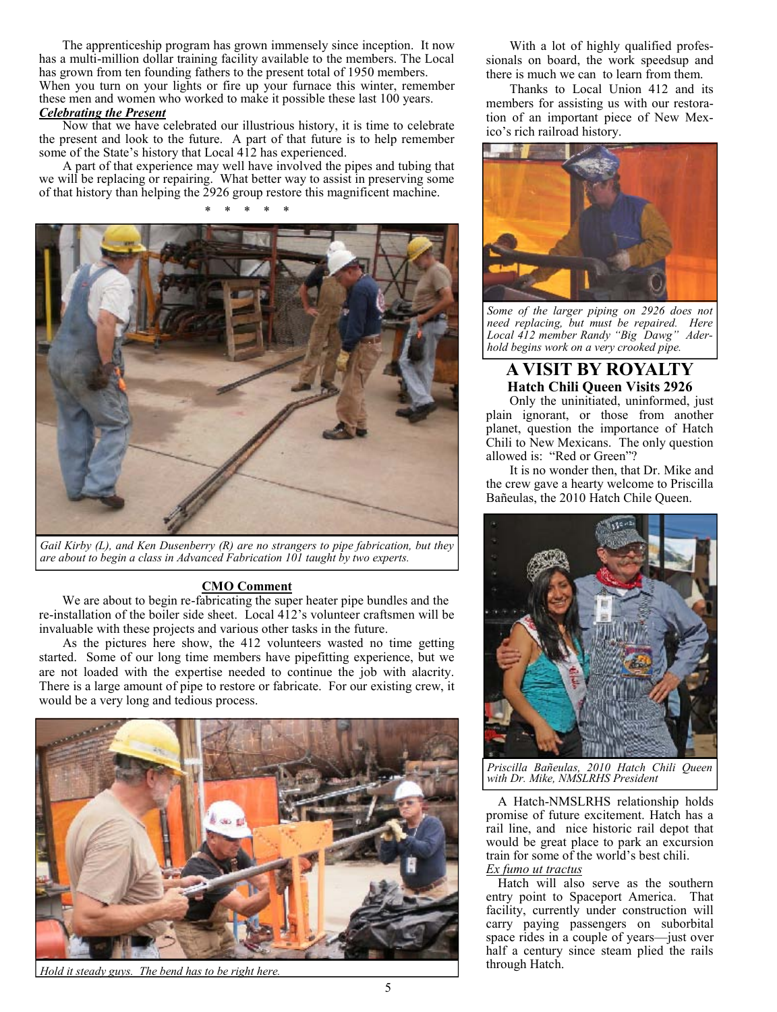The apprenticeship program has grown immensely since inception. It now has a multi-million dollar training facility available to the members. The Local has grown from ten founding fathers to the present total of 1950 members. When you turn on your lights or fire up your furnace this winter, remember these men and women who worked to make it possible these last 100 years. *Celebrating the Present*

Now that we have celebrated our illustrious history, it is time to celebrate the present and look to the future. A part of that future is to help remember some of the State's history that Local 412 has experienced.

A part of that experience may well have involved the pipes and tubing that we will be replacing or repairing. What better way to assist in preserving some of that history than helping the 2926 group restore this magnificent machine.

\* \* \* \* \*



*Gail Kirby (L), and Ken Dusenberry (R) are no strangers to pipe fabrication, but they are about to begin a class in Advanced Fabrication 101 taught by two experts.*

#### **CMO Comment**

We are about to begin re-fabricating the super heater pipe bundles and the re-installation of the boiler side sheet. Local 412's volunteer craftsmen will be invaluable with these projects and various other tasks in the future.

As the pictures here show, the 412 volunteers wasted no time getting started. Some of our long time members have pipefitting experience, but we are not loaded with the expertise needed to continue the job with alacrity. There is a large amount of pipe to restore or fabricate. For our existing crew, it would be a very long and tedious process.



*Hold it steady guys. The bend has to be right here.*

With a lot of highly qualified professionals on board, the work speedsup and there is much we can to learn from them.

Thanks to Local Union 412 and its members for assisting us with our restoration of an important piece of New Mexico's rich railroad history.



*Some of the larger piping on 2926 does not need replacing, but must be repaired. Here Local 412 member Randy "Big Dawg" Aderhold begins work on a very crooked pipe.*

# **A VISIT BY ROYALTY Hatch Chili Queen Visits 2926**

Only the uninitiated, uninformed, just plain ignorant, or those from another planet, question the importance of Hatch Chili to New Mexicans. The only question allowed is: "Red or Green"?

It is no wonder then, that Dr. Mike and the crew gave a hearty welcome to Priscilla Bañeulas, the 2010 Hatch Chile Queen.



*Priscilla Bañeulas, 2010 Hatch Chili Queen with Dr. Mike, NMSLRHS President*

A Hatch-NMSLRHS relationship holds promise of future excitement. Hatch has a rail line, and nice historic rail depot that would be great place to park an excursion train for some of the world's best chili. *Ex fumo ut tractus*

Hatch will also serve as the southern entry point to Spaceport America. That facility, currently under construction will carry paying passengers on suborbital space rides in a couple of years—just over half a century since steam plied the rails through Hatch.